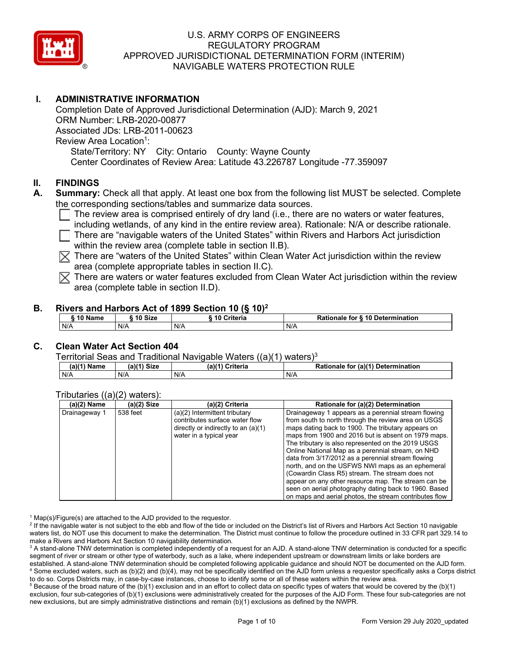

# **I. ADMINISTRATIVE INFORMATION**

Completion Date of Approved Jurisdictional Determination (AJD): March 9, 2021 ORM Number: LRB-2020-00877 Associated JDs: LRB-2011-00623 Review Area Location<sup>1</sup>: State/Territory: NY City: Ontario County: Wayne County Center Coordinates of Review Area: Latitude 43.226787 Longitude -77.359097

#### **II. FINDINGS**

- **A. Summary:** Check all that apply. At least one box from the following list MUST be selected. Complete the corresponding sections/tables and summarize data sources.
	- The review area is comprised entirely of dry land (i.e., there are no waters or water features, including wetlands, of any kind in the entire review area). Rationale: N/A or describe rationale.

 $\Box$  There are "navigable waters of the United States" within Rivers and Harbors Act jurisdiction within the review area (complete table in section II.B).

 $\mathbb{\overline{X}}$  There are "waters of the United States" within Clean Water Act jurisdiction within the review area (complete appropriate tables in section II.C).

 $\overline{\times}$  There are waters or water features excluded from Clean Water Act jurisdiction within the review area (complete table in section II.D).

#### **B. Rivers and Harbors Act of 1899 Section 10 (§ 10)2**

| $^{\circ}$ 10 Name | 10 Size | <b>Criteria</b> | Rationale for § 10 Determination |  |
|--------------------|---------|-----------------|----------------------------------|--|
| N/A                | N/A     | N/A             | N/A                              |  |

## **C. Clean Water Act Section 404**

Territorial Seas and Traditional Navigable Waters  $((a)(1)$  waters)<sup>3</sup>

| $(a)(1)$ .<br>Name | (a)<br><b>Size</b> | (a)<br><b>Criteria</b> | (a)(1) Determination<br><b>Rationale</b><br>for |
|--------------------|--------------------|------------------------|-------------------------------------------------|
| N/A                | N/A                | N/A                    | N/A                                             |

#### Tributaries ((a)(2) waters):

| $(a)(2)$ Name | $(a)(2)$ Size | (a)(2) Criteria                       | Rationale for (a)(2) Determination                     |
|---------------|---------------|---------------------------------------|--------------------------------------------------------|
| Drainageway 1 | 538 feet      | (a)(2) Intermittent tributary         | Drainageway 1 appears as a perennial stream flowing    |
|               |               | contributes surface water flow        | from south to north through the review area on USGS    |
|               |               | directly or indirectly to an $(a)(1)$ | maps dating back to 1900. The tributary appears on     |
|               |               | water in a typical year               | maps from 1900 and 2016 but is absent on 1979 maps.    |
|               |               |                                       | The tributary is also represented on the 2019 USGS     |
|               |               |                                       | Online National Map as a perennial stream, on NHD      |
|               |               |                                       | data from 3/17/2012 as a perennial stream flowing      |
|               |               |                                       | north, and on the USFWS NWI maps as an ephemeral       |
|               |               |                                       | (Cowardin Class R5) stream. The stream does not        |
|               |               |                                       | appear on any other resource map. The stream can be    |
|               |               |                                       | seen on aerial photography dating back to 1960. Based  |
|               |               |                                       | on maps and aerial photos, the stream contributes flow |

 $1$  Map(s)/Figure(s) are attached to the AJD provided to the requestor.

<sup>2</sup> If the navigable water is not subject to the ebb and flow of the tide or included on the District's list of Rivers and Harbors Act Section 10 navigable waters list, do NOT use this document to make the determination. The District must continue to follow the procedure outlined in 33 CFR part 329.14 to make a Rivers and Harbors Act Section 10 navigability determination.

<sup>3</sup> A stand-alone TNW determination is completed independently of a request for an AJD. A stand-alone TNW determination is conducted for a specific segment of river or stream or other type of waterbody, such as a lake, where independent upstream or downstream limits or lake borders are established. A stand-alone TNW determination should be completed following applicable guidance and should NOT be documented on the AJD form. <sup>4</sup> Some excluded waters, such as (b)(2) and (b)(4), may not be specifically identified on the AJD form unless a requestor specifically asks a Corps district to do so. Corps Districts may, in case-by-case instances, choose to identify some or all of these waters within the review area.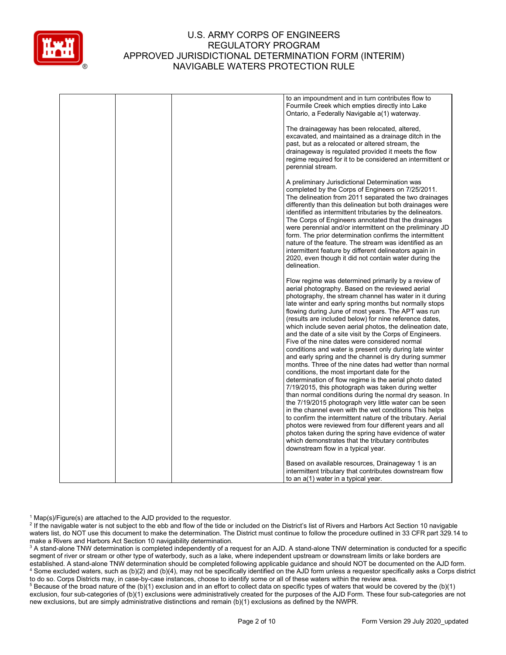

|  | to an impoundment and in turn contributes flow to<br>Fourmile Creek which empties directly into Lake<br>Ontario, a Federally Navigable a(1) waterway.                                                                                                                                                                                                                                                                                                                                                                                                                                                                                                                                                                                                                                                                                                                                                                                                                                                                                                                                                                                                                                                                                                                                                                        |
|--|------------------------------------------------------------------------------------------------------------------------------------------------------------------------------------------------------------------------------------------------------------------------------------------------------------------------------------------------------------------------------------------------------------------------------------------------------------------------------------------------------------------------------------------------------------------------------------------------------------------------------------------------------------------------------------------------------------------------------------------------------------------------------------------------------------------------------------------------------------------------------------------------------------------------------------------------------------------------------------------------------------------------------------------------------------------------------------------------------------------------------------------------------------------------------------------------------------------------------------------------------------------------------------------------------------------------------|
|  | The drainageway has been relocated, altered,<br>excavated, and maintained as a drainage ditch in the<br>past, but as a relocated or altered stream, the<br>drainageway is regulated provided it meets the flow<br>regime required for it to be considered an intermittent or<br>perennial stream.                                                                                                                                                                                                                                                                                                                                                                                                                                                                                                                                                                                                                                                                                                                                                                                                                                                                                                                                                                                                                            |
|  | A preliminary Jurisdictional Determination was<br>completed by the Corps of Engineers on 7/25/2011.<br>The delineation from 2011 separated the two drainages<br>differently than this delineation but both drainages were<br>identified as intermittent tributaries by the delineators.<br>The Corps of Engineers annotated that the drainages<br>were perennial and/or intermittent on the preliminary JD<br>form. The prior determination confirms the intermittent<br>nature of the feature. The stream was identified as an<br>intermittent feature by different delineators again in<br>2020, even though it did not contain water during the<br>delineation.                                                                                                                                                                                                                                                                                                                                                                                                                                                                                                                                                                                                                                                           |
|  | Flow regime was determined primarily by a review of<br>aerial photography. Based on the reviewed aerial<br>photography, the stream channel has water in it during<br>late winter and early spring months but normally stops<br>flowing during June of most years. The APT was run<br>(results are included below) for nine reference dates,<br>which include seven aerial photos, the delineation date,<br>and the date of a site visit by the Corps of Engineers.<br>Five of the nine dates were considered normal<br>conditions and water is present only during late winter<br>and early spring and the channel is dry during summer<br>months. Three of the nine dates had wetter than normal<br>conditions, the most important date for the<br>determination of flow regime is the aerial photo dated<br>7/19/2015, this photograph was taken during wetter<br>than normal conditions during the normal dry season. In<br>the 7/19/2015 photograph very little water can be seen<br>in the channel even with the wet conditions This helps<br>to confirm the intermittent nature of the tributary. Aerial<br>photos were reviewed from four different years and all<br>photos taken during the spring have evidence of water<br>which demonstrates that the tributary contributes<br>downstream flow in a typical year. |
|  | Based on available resources, Drainageway 1 is an<br>intermittent tributary that contributes downstream flow<br>to an a(1) water in a typical year.                                                                                                                                                                                                                                                                                                                                                                                                                                                                                                                                                                                                                                                                                                                                                                                                                                                                                                                                                                                                                                                                                                                                                                          |

 $1$  Map(s)/Figure(s) are attached to the AJD provided to the requestor.

<sup>2</sup> If the navigable water is not subject to the ebb and flow of the tide or included on the District's list of Rivers and Harbors Act Section 10 navigable waters list, do NOT use this document to make the determination. The District must continue to follow the procedure outlined in 33 CFR part 329.14 to make a Rivers and Harbors Act Section 10 navigability determination.

<sup>3</sup> A stand-alone TNW determination is completed independently of a request for an AJD. A stand-alone TNW determination is conducted for a specific segment of river or stream or other type of waterbody, such as a lake, where independent upstream or downstream limits or lake borders are established. A stand-alone TNW determination should be completed following applicable guidance and should NOT be documented on the AJD form. <sup>4</sup> Some excluded waters, such as (b)(2) and (b)(4), may not be specifically identified on the AJD form unless a requestor specifically asks a Corps district to do so. Corps Districts may, in case-by-case instances, choose to identify some or all of these waters within the review area.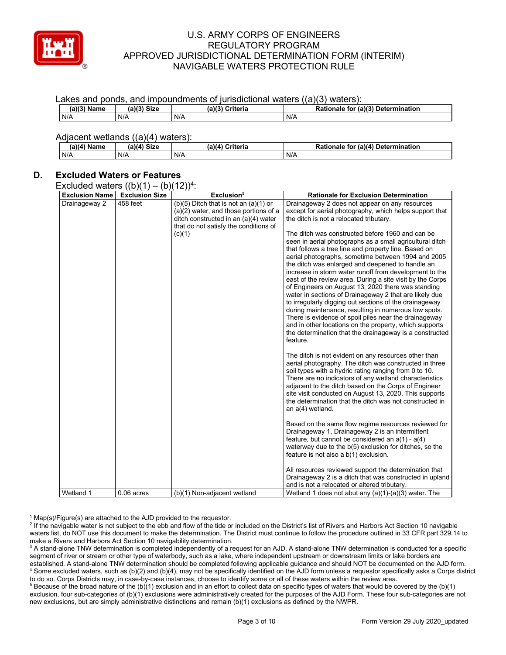

#### Lakes and ponds, and impoundments of jurisdictional waters  $((a)(3)$  waters):

| $(a)(3)$<br>Name | $^{1/2}$ Size | (a)(3)<br><b>Criteria</b> | .<br>Rationale for (a)(3) Determination |
|------------------|---------------|---------------------------|-----------------------------------------|
| N/A              | N/A           | N/A                       | N/A                                     |

#### Adjacent wetlands ((a)(4) waters):

| (a)(4) Name | <b>Size</b><br>(a)(4) | <b>Criteria</b><br>(a)(4) | <b>Rationale</b><br>. (a)(4)<br><b>Determination</b><br>tor. |
|-------------|-----------------------|---------------------------|--------------------------------------------------------------|
| N/A         | N/A                   | N/A                       | N/A                                                          |

# **D. Excluded Waters or Features**

#### Excluded waters  $((b)(1) - (b)(12))^4$ :

| $\frac{1}{2}$<br><b>Exclusion Name</b><br><b>Exclusion Size</b> | (2)<br>Exclusion <sup>5</sup>                                                                                                                                         | <b>Rationale for Exclusion Determination</b>                                                                                                                                                                                                                                                                                                                                                                                                                                                                                                                                                                                                                                                                                                                                                                                      |
|-----------------------------------------------------------------|-----------------------------------------------------------------------------------------------------------------------------------------------------------------------|-----------------------------------------------------------------------------------------------------------------------------------------------------------------------------------------------------------------------------------------------------------------------------------------------------------------------------------------------------------------------------------------------------------------------------------------------------------------------------------------------------------------------------------------------------------------------------------------------------------------------------------------------------------------------------------------------------------------------------------------------------------------------------------------------------------------------------------|
| 458 feet<br>Drainageway 2                                       | $(b)(5)$ Ditch that is not an $(a)(1)$ or<br>$(a)(2)$ water, and those portions of a<br>ditch constructed in an (a)(4) water<br>that do not satisfy the conditions of | Drainageway 2 does not appear on any resources<br>except for aerial photography, which helps support that<br>the ditch is not a relocated tributary.                                                                                                                                                                                                                                                                                                                                                                                                                                                                                                                                                                                                                                                                              |
|                                                                 | (c)(1)                                                                                                                                                                | The ditch was constructed before 1960 and can be<br>seen in aerial photographs as a small agricultural ditch<br>that follows a tree line and property line. Based on<br>aerial photographs, sometime between 1994 and 2005<br>the ditch was enlarged and deepened to handle an<br>increase in storm water runoff from development to the<br>east of the review area. During a site visit by the Corps<br>of Engineers on August 13, 2020 there was standing<br>water in sections of Drainageway 2 that are likely due<br>to irregularly digging out sections of the drainageway<br>during maintenance, resulting in numerous low spots.<br>There is evidence of spoil piles near the drainageway<br>and in other locations on the property, which supports<br>the determination that the drainageway is a constructed<br>feature. |
|                                                                 |                                                                                                                                                                       | The ditch is not evident on any resources other than<br>aerial photography. The ditch was constructed in three<br>soil types with a hydric rating ranging from 0 to 10.<br>There are no indicators of any wetland characteristics<br>adjacent to the ditch based on the Corps of Engineer<br>site visit conducted on August 13, 2020. This supports<br>the determination that the ditch was not constructed in<br>an $a(4)$ wetland.                                                                                                                                                                                                                                                                                                                                                                                              |
|                                                                 |                                                                                                                                                                       | Based on the same flow regime resources reviewed for<br>Drainageway 1, Drainageway 2 is an intermittent<br>feature, but cannot be considered an $a(1) - a(4)$<br>waterway due to the b(5) exclusion for ditches, so the<br>feature is not also a b(1) exclusion.                                                                                                                                                                                                                                                                                                                                                                                                                                                                                                                                                                  |
| Wetland 1<br>$0.06$ acres                                       | (b)(1) Non-adjacent wetland                                                                                                                                           | All resources reviewed support the determination that<br>Drainageway 2 is a ditch that was constructed in upland<br>and is not a relocated or altered tributary.<br>Wetland 1 does not abut any $(a)(1)-(a)(3)$ water. The                                                                                                                                                                                                                                                                                                                                                                                                                                                                                                                                                                                                        |

 $1$  Map(s)/Figure(s) are attached to the AJD provided to the requestor.

<sup>2</sup> If the navigable water is not subject to the ebb and flow of the tide or included on the District's list of Rivers and Harbors Act Section 10 navigable waters list, do NOT use this document to make the determination. The District must continue to follow the procedure outlined in 33 CFR part 329.14 to make a Rivers and Harbors Act Section 10 navigability determination.

<sup>3</sup> A stand-alone TNW determination is completed independently of a request for an AJD. A stand-alone TNW determination is conducted for a specific segment of river or stream or other type of waterbody, such as a lake, where independent upstream or downstream limits or lake borders are established. A stand-alone TNW determination should be completed following applicable guidance and should NOT be documented on the AJD form. <sup>4</sup> Some excluded waters, such as (b)(2) and (b)(4), may not be specifically identified on the AJD form unless a requestor specifically asks a Corps district to do so. Corps Districts may, in case-by-case instances, choose to identify some or all of these waters within the review area.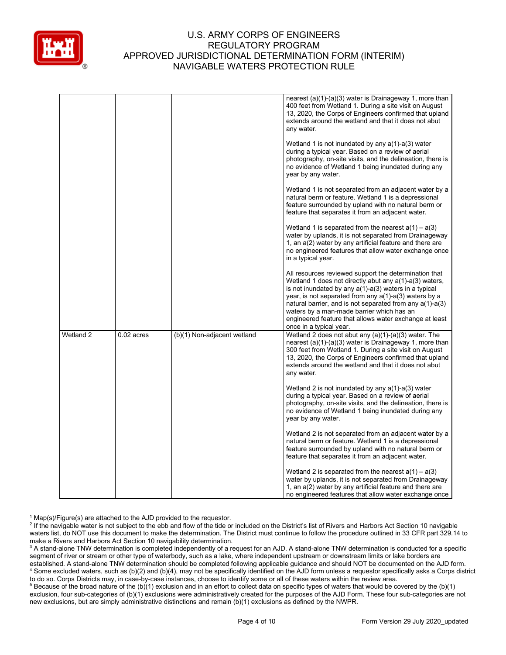

|           |              |                             | nearest (a)(1)-(a)(3) water is Drainageway 1, more than<br>400 feet from Wetland 1. During a site visit on August<br>13, 2020, the Corps of Engineers confirmed that upland<br>extends around the wetland and that it does not abut<br>any water.                                                                                                                                                                                             |
|-----------|--------------|-----------------------------|-----------------------------------------------------------------------------------------------------------------------------------------------------------------------------------------------------------------------------------------------------------------------------------------------------------------------------------------------------------------------------------------------------------------------------------------------|
|           |              |                             | Wetland 1 is not inundated by any $a(1)$ -a(3) water<br>during a typical year. Based on a review of aerial<br>photography, on-site visits, and the delineation, there is<br>no evidence of Wetland 1 being inundated during any<br>year by any water.                                                                                                                                                                                         |
|           |              |                             | Wetland 1 is not separated from an adjacent water by a<br>natural berm or feature. Wetland 1 is a depressional<br>feature surrounded by upland with no natural berm or<br>feature that separates it from an adjacent water.                                                                                                                                                                                                                   |
|           |              |                             | Wetland 1 is separated from the nearest $a(1) - a(3)$<br>water by uplands, it is not separated from Drainageway<br>1, an $a(2)$ water by any artificial feature and there are<br>no engineered features that allow water exchange once<br>in a typical year.                                                                                                                                                                                  |
|           |              |                             | All resources reviewed support the determination that<br>Wetland 1 does not directly abut any a(1)-a(3) waters,<br>is not inundated by any $a(1)$ - $a(3)$ waters in a typical<br>year, is not separated from any $a(1)$ - $a(3)$ waters by a<br>natural barrier, and is not separated from any $a(1)-a(3)$<br>waters by a man-made barrier which has an<br>engineered feature that allows water exchange at least<br>once in a typical year. |
| Wetland 2 | $0.02$ acres | (b)(1) Non-adjacent wetland | Wetland 2 does not abut any (a)(1)-(a)(3) water. The<br>nearest $(a)(1)-(a)(3)$ water is Drainageway 1, more than<br>300 feet from Wetland 1. During a site visit on August<br>13, 2020, the Corps of Engineers confirmed that upland<br>extends around the wetland and that it does not abut<br>any water.                                                                                                                                   |
|           |              |                             | Wetland 2 is not inundated by any $a(1)$ - $a(3)$ water<br>during a typical year. Based on a review of aerial<br>photography, on-site visits, and the delineation, there is<br>no evidence of Wetland 1 being inundated during any<br>year by any water.                                                                                                                                                                                      |
|           |              |                             | Wetland 2 is not separated from an adjacent water by a<br>natural berm or feature. Wetland 1 is a depressional<br>feature surrounded by upland with no natural berm or<br>feature that separates it from an adjacent water.                                                                                                                                                                                                                   |
|           |              |                             | Wetland 2 is separated from the nearest $a(1) - a(3)$<br>water by uplands, it is not separated from Drainageway<br>1, an $a(2)$ water by any artificial feature and there are<br>no engineered features that allow water exchange once                                                                                                                                                                                                        |

 $1$  Map(s)/Figure(s) are attached to the AJD provided to the requestor.

<sup>2</sup> If the navigable water is not subject to the ebb and flow of the tide or included on the District's list of Rivers and Harbors Act Section 10 navigable waters list, do NOT use this document to make the determination. The District must continue to follow the procedure outlined in 33 CFR part 329.14 to make a Rivers and Harbors Act Section 10 navigability determination.

<sup>3</sup> A stand-alone TNW determination is completed independently of a request for an AJD. A stand-alone TNW determination is conducted for a specific segment of river or stream or other type of waterbody, such as a lake, where independent upstream or downstream limits or lake borders are established. A stand-alone TNW determination should be completed following applicable guidance and should NOT be documented on the AJD form. <sup>4</sup> Some excluded waters, such as (b)(2) and (b)(4), may not be specifically identified on the AJD form unless a requestor specifically asks a Corps district to do so. Corps Districts may, in case-by-case instances, choose to identify some or all of these waters within the review area.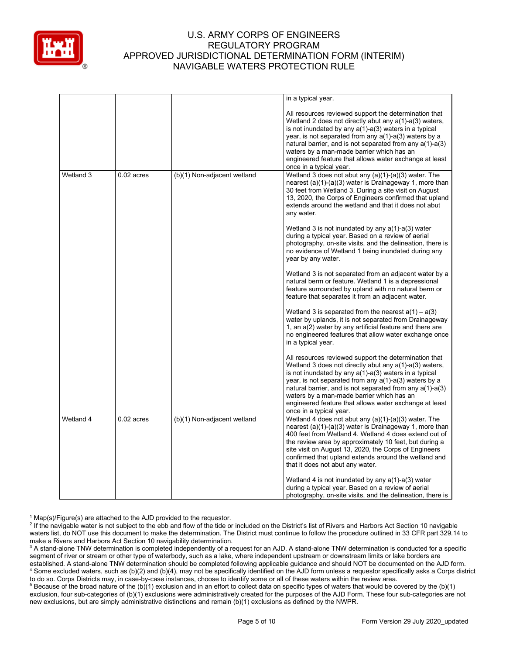

|           |              |                             | in a typical year.                                                                                                                                                                                                                                                                                                                                                                                                                       |
|-----------|--------------|-----------------------------|------------------------------------------------------------------------------------------------------------------------------------------------------------------------------------------------------------------------------------------------------------------------------------------------------------------------------------------------------------------------------------------------------------------------------------------|
|           |              |                             | All resources reviewed support the determination that<br>Wetland 2 does not directly abut any a(1)-a(3) waters,<br>is not inundated by any a(1)-a(3) waters in a typical<br>year, is not separated from any $a(1)$ -a(3) waters by a<br>natural barrier, and is not separated from any $a(1)$ - $a(3)$<br>waters by a man-made barrier which has an<br>engineered feature that allows water exchange at least<br>once in a typical year. |
| Wetland 3 | $0.02$ acres | (b)(1) Non-adjacent wetland | Wetland 3 does not abut any (a)(1)-(a)(3) water. The<br>nearest $(a)(1)-(a)(3)$ water is Drainageway 1, more than<br>30 feet from Wetland 3. During a site visit on August<br>13, 2020, the Corps of Engineers confirmed that upland<br>extends around the wetland and that it does not abut<br>any water.                                                                                                                               |
|           |              |                             | Wetland 3 is not inundated by any $a(1)$ - $a(3)$ water<br>during a typical year. Based on a review of aerial<br>photography, on-site visits, and the delineation, there is<br>no evidence of Wetland 1 being inundated during any<br>year by any water.                                                                                                                                                                                 |
|           |              |                             | Wetland 3 is not separated from an adjacent water by a<br>natural berm or feature. Wetland 1 is a depressional<br>feature surrounded by upland with no natural berm or<br>feature that separates it from an adjacent water.                                                                                                                                                                                                              |
|           |              |                             | Wetland 3 is separated from the nearest $a(1) - a(3)$<br>water by uplands, it is not separated from Drainageway<br>1, an $a(2)$ water by any artificial feature and there are<br>no engineered features that allow water exchange once<br>in a typical year.                                                                                                                                                                             |
|           |              |                             | All resources reviewed support the determination that<br>Wetland 3 does not directly abut any a(1)-a(3) waters,<br>is not inundated by any a(1)-a(3) waters in a typical<br>year, is not separated from any $a(1)$ -a(3) waters by a<br>natural barrier, and is not separated from any $a(1)$ - $a(3)$<br>waters by a man-made barrier which has an<br>engineered feature that allows water exchange at least<br>once in a typical year. |
| Wetland 4 | $0.02$ acres | (b)(1) Non-adjacent wetland | Wetland 4 does not abut any $(a)(1)-(a)(3)$ water. The<br>nearest $(a)(1)-(a)(3)$ water is Drainageway 1, more than<br>400 feet from Wetland 4. Wetland 4 does extend out of<br>the review area by approximately 10 feet, but during a<br>site visit on August 13, 2020, the Corps of Engineers<br>confirmed that upland extends around the wetland and<br>that it does not abut any water.                                              |
|           |              |                             | Wetland 4 is not inundated by any $a(1)$ - $a(3)$ water<br>during a typical year. Based on a review of aerial<br>photography, on-site visits, and the delineation, there is                                                                                                                                                                                                                                                              |

 $1$  Map(s)/Figure(s) are attached to the AJD provided to the requestor.

<sup>2</sup> If the navigable water is not subject to the ebb and flow of the tide or included on the District's list of Rivers and Harbors Act Section 10 navigable waters list, do NOT use this document to make the determination. The District must continue to follow the procedure outlined in 33 CFR part 329.14 to make a Rivers and Harbors Act Section 10 navigability determination.

<sup>3</sup> A stand-alone TNW determination is completed independently of a request for an AJD. A stand-alone TNW determination is conducted for a specific segment of river or stream or other type of waterbody, such as a lake, where independent upstream or downstream limits or lake borders are established. A stand-alone TNW determination should be completed following applicable guidance and should NOT be documented on the AJD form. <sup>4</sup> Some excluded waters, such as (b)(2) and (b)(4), may not be specifically identified on the AJD form unless a requestor specifically asks a Corps district to do so. Corps Districts may, in case-by-case instances, choose to identify some or all of these waters within the review area.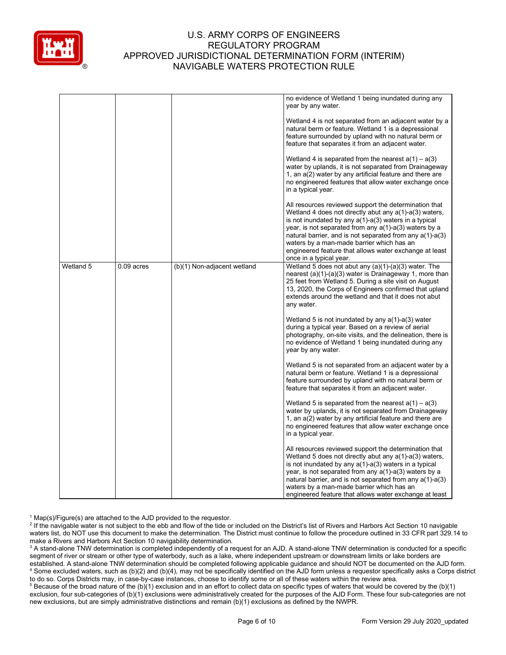

|           |              |                             | no evidence of Wetland 1 being inundated during any<br>year by any water.                                                                                                                                                                                                                                                                                                                                                                         |
|-----------|--------------|-----------------------------|---------------------------------------------------------------------------------------------------------------------------------------------------------------------------------------------------------------------------------------------------------------------------------------------------------------------------------------------------------------------------------------------------------------------------------------------------|
|           |              |                             | Wetland 4 is not separated from an adjacent water by a<br>natural berm or feature. Wetland 1 is a depressional<br>feature surrounded by upland with no natural berm or<br>feature that separates it from an adjacent water.                                                                                                                                                                                                                       |
|           |              |                             | Wetland 4 is separated from the nearest $a(1) - a(3)$<br>water by uplands, it is not separated from Drainageway<br>1, an a(2) water by any artificial feature and there are<br>no engineered features that allow water exchange once<br>in a typical year.                                                                                                                                                                                        |
|           |              |                             | All resources reviewed support the determination that<br>Wetland 4 does not directly abut any $a(1)$ - $a(3)$ waters,<br>is not inundated by any $a(1)$ - $a(3)$ waters in a typical<br>year, is not separated from any $a(1)$ -a(3) waters by a<br>natural barrier, and is not separated from any $a(1)$ -a(3)<br>waters by a man-made barrier which has an<br>engineered feature that allows water exchange at least<br>once in a typical year. |
| Wetland 5 | $0.09$ acres | (b)(1) Non-adjacent wetland | Wetland 5 does not abut any (a)(1)-(a)(3) water. The<br>nearest $(a)(1)-(a)(3)$ water is Drainageway 1, more than<br>25 feet from Wetland 5. During a site visit on August<br>13, 2020, the Corps of Engineers confirmed that upland<br>extends around the wetland and that it does not abut<br>any water.                                                                                                                                        |
|           |              |                             | Wetland 5 is not inundated by any $a(1)$ -a(3) water<br>during a typical year. Based on a review of aerial<br>photography, on-site visits, and the delineation, there is<br>no evidence of Wetland 1 being inundated during any<br>year by any water.                                                                                                                                                                                             |
|           |              |                             | Wetland 5 is not separated from an adjacent water by a<br>natural berm or feature. Wetland 1 is a depressional<br>feature surrounded by upland with no natural berm or<br>feature that separates it from an adjacent water.                                                                                                                                                                                                                       |
|           |              |                             | Wetland 5 is separated from the nearest $a(1) - a(3)$<br>water by uplands, it is not separated from Drainageway<br>1, an $a(2)$ water by any artificial feature and there are<br>no engineered features that allow water exchange once<br>in a typical year.                                                                                                                                                                                      |
|           |              |                             | All resources reviewed support the determination that<br>Wetland 5 does not directly abut any $a(1)$ - $a(3)$ waters,<br>is not inundated by any $a(1)$ -a(3) waters in a typical<br>year, is not separated from any $a(1)$ -a(3) waters by a<br>natural barrier, and is not separated from any $a(1)$ -a(3)<br>waters by a man-made barrier which has an<br>engineered feature that allows water exchange at least                               |

 $1$  Map(s)/Figure(s) are attached to the AJD provided to the requestor.

<sup>2</sup> If the navigable water is not subject to the ebb and flow of the tide or included on the District's list of Rivers and Harbors Act Section 10 navigable waters list, do NOT use this document to make the determination. The District must continue to follow the procedure outlined in 33 CFR part 329.14 to make a Rivers and Harbors Act Section 10 navigability determination.

<sup>3</sup> A stand-alone TNW determination is completed independently of a request for an AJD. A stand-alone TNW determination is conducted for a specific segment of river or stream or other type of waterbody, such as a lake, where independent upstream or downstream limits or lake borders are established. A stand-alone TNW determination should be completed following applicable guidance and should NOT be documented on the AJD form. <sup>4</sup> Some excluded waters, such as (b)(2) and (b)(4), may not be specifically identified on the AJD form unless a requestor specifically asks a Corps district to do so. Corps Districts may, in case-by-case instances, choose to identify some or all of these waters within the review area.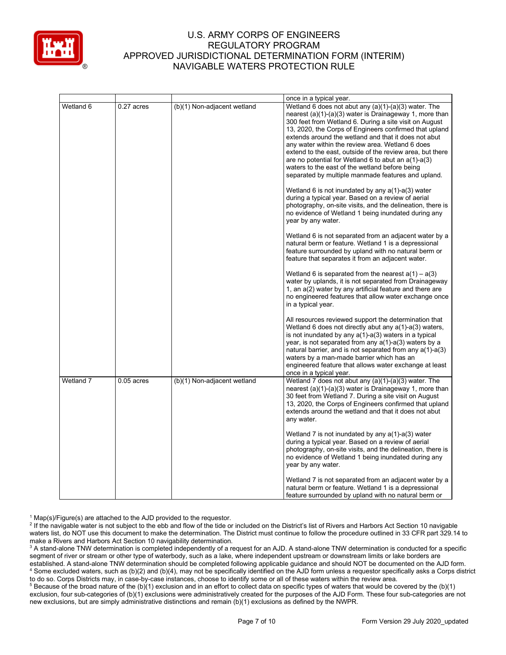

|           |              |                             | once in a typical year.                                                                                                                                                                                                                                                                                                                                                                                                                                                                                                                                                           |
|-----------|--------------|-----------------------------|-----------------------------------------------------------------------------------------------------------------------------------------------------------------------------------------------------------------------------------------------------------------------------------------------------------------------------------------------------------------------------------------------------------------------------------------------------------------------------------------------------------------------------------------------------------------------------------|
| Wetland 6 | $0.27$ acres | (b)(1) Non-adjacent wetland | Wetland 6 does not abut any $(a)(1)-(a)(3)$ water. The<br>nearest $(a)(1)-(a)(3)$ water is Drainageway 1, more than<br>300 feet from Wetland 6. During a site visit on August<br>13, 2020, the Corps of Engineers confirmed that upland<br>extends around the wetland and that it does not abut<br>any water within the review area. Wetland 6 does<br>extend to the east, outside of the review area, but there<br>are no potential for Wetland 6 to abut an $a(1)-a(3)$<br>waters to the east of the wetland before being<br>separated by multiple manmade features and upland. |
|           |              |                             | Wetland 6 is not inundated by any $a(1)$ -a(3) water<br>during a typical year. Based on a review of aerial<br>photography, on-site visits, and the delineation, there is<br>no evidence of Wetland 1 being inundated during any<br>year by any water.                                                                                                                                                                                                                                                                                                                             |
|           |              |                             | Wetland 6 is not separated from an adjacent water by a<br>natural berm or feature. Wetland 1 is a depressional<br>feature surrounded by upland with no natural berm or<br>feature that separates it from an adjacent water.                                                                                                                                                                                                                                                                                                                                                       |
|           |              |                             |                                                                                                                                                                                                                                                                                                                                                                                                                                                                                                                                                                                   |
|           |              |                             | All resources reviewed support the determination that<br>Wetland 6 does not directly abut any a(1)-a(3) waters,<br>is not inundated by any $a(1)$ - $a(3)$ waters in a typical<br>year, is not separated from any $a(1)$ -a(3) waters by a<br>natural barrier, and is not separated from any $a(1)$ -a(3)<br>waters by a man-made barrier which has an<br>engineered feature that allows water exchange at least<br>once in a typical year.                                                                                                                                       |
| Wetland 7 | $0.05$ acres | (b)(1) Non-adjacent wetland | Wetland 7 does not abut any (a)(1)-(a)(3) water. The<br>nearest $(a)(1)-(a)(3)$ water is Drainageway 1, more than<br>30 feet from Wetland 7. During a site visit on August<br>13, 2020, the Corps of Engineers confirmed that upland<br>extends around the wetland and that it does not abut<br>any water.                                                                                                                                                                                                                                                                        |
|           |              |                             | Wetland 7 is not inundated by any $a(1)$ -a(3) water<br>during a typical year. Based on a review of aerial<br>photography, on-site visits, and the delineation, there is<br>no evidence of Wetland 1 being inundated during any<br>year by any water.                                                                                                                                                                                                                                                                                                                             |
|           |              |                             | Wetland 7 is not separated from an adjacent water by a<br>natural berm or feature. Wetland 1 is a depressional<br>feature surrounded by upland with no natural berm or                                                                                                                                                                                                                                                                                                                                                                                                            |

 $1$  Map(s)/Figure(s) are attached to the AJD provided to the requestor.

<sup>2</sup> If the navigable water is not subject to the ebb and flow of the tide or included on the District's list of Rivers and Harbors Act Section 10 navigable waters list, do NOT use this document to make the determination. The District must continue to follow the procedure outlined in 33 CFR part 329.14 to make a Rivers and Harbors Act Section 10 navigability determination.

<sup>3</sup> A stand-alone TNW determination is completed independently of a request for an AJD. A stand-alone TNW determination is conducted for a specific segment of river or stream or other type of waterbody, such as a lake, where independent upstream or downstream limits or lake borders are established. A stand-alone TNW determination should be completed following applicable guidance and should NOT be documented on the AJD form. <sup>4</sup> Some excluded waters, such as (b)(2) and (b)(4), may not be specifically identified on the AJD form unless a requestor specifically asks a Corps district to do so. Corps Districts may, in case-by-case instances, choose to identify some or all of these waters within the review area.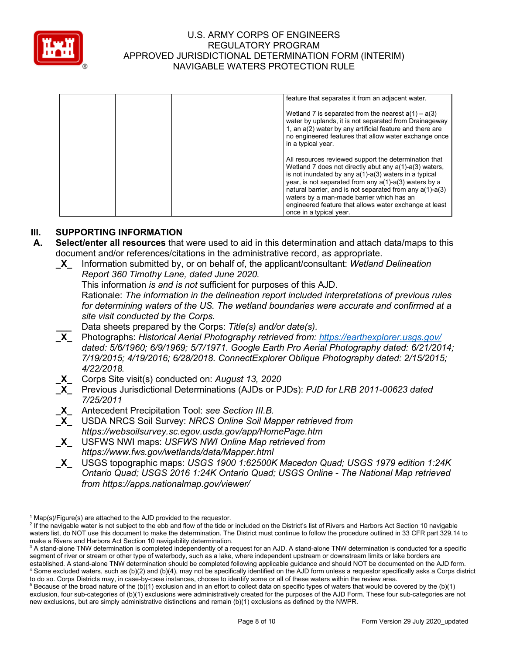

|  |  | feature that separates it from an adjacent water.                                                                                                                                                                                                                                                                                                                                                                                  |
|--|--|------------------------------------------------------------------------------------------------------------------------------------------------------------------------------------------------------------------------------------------------------------------------------------------------------------------------------------------------------------------------------------------------------------------------------------|
|  |  | Wetland 7 is separated from the nearest $a(1) - a(3)$<br>water by uplands, it is not separated from Drainageway<br>1, an a(2) water by any artificial feature and there are<br>no engineered features that allow water exchange once<br>in a typical year.                                                                                                                                                                         |
|  |  | All resources reviewed support the determination that<br>Wetland 7 does not directly abut any a(1)-a(3) waters,<br>is not inundated by any a(1)-a(3) waters in a typical<br>year, is not separated from any $a(1)$ -a(3) waters by a<br>natural barrier, and is not separated from any a(1)-a(3)<br>waters by a man-made barrier which has an<br>engineered feature that allows water exchange at least<br>once in a typical year. |

# **III. SUPPORTING INFORMATION**

*4/22/2018.*

- **A. Select/enter all resources** that were used to aid in this determination and attach data/maps to this document and/or references/citations in the administrative record, as appropriate.
	- **\_X\_** Information submitted by, or on behalf of, the applicant/consultant: *Wetland Delineation Report 360 Timothy Lane, dated June 2020.* This information *is and is not* sufficient for purposes of this AJD. Rationale: *The information in the delineation report included interpretations of previous rules for determining waters of the US. The wetland boundaries were accurate and confirmed at a site visit conducted by the Corps.* **\_\_\_** Data sheets prepared by the Corps: *Title(s) and/or date(s).* **\_X\_** Photographs: *Historical Aerial Photography retrieved from:<https://earthexplorer.usgs.gov/> dated: 5/6/1960; 6/9/1969; 5/7/1971. Google Earth Pro Aerial Photography dated: 6/21/2014; 7/19/2015; 4/19/2016; 6/28/2018. ConnectExplorer Oblique Photography dated: 2/15/2015;*
	- **\_X\_** Corps Site visit(s) conducted on: *August 13, 2020*
	- **\_X\_** Previous Jurisdictional Determinations (AJDs or PJDs): *PJD for LRB 2011-00623 dated 7/25/2011*
	- **\_X\_** Antecedent Precipitation Tool: *see Section III.B.*
	- **\_X\_** USDA NRCS Soil Survey: *NRCS Online Soil Mapper retrieved from https://websoilsurvey.sc.egov.usda.gov/app/HomePage.htm*
	- **\_X\_** USFWS NWI maps: *USFWS NWI Online Map retrieved from https://www.fws.gov/wetlands/data/Mapper.html*
	- **\_X\_** USGS topographic maps: *USGS 1900 1:62500K Macedon Quad; USGS 1979 edition 1:24K Ontario Quad; USGS 2016 1:24K Ontario Quad; USGS Online - The National Map retrieved from https://apps.nationalmap.gov/viewer/*

 $1$  Map(s)/Figure(s) are attached to the AJD provided to the requestor.

<sup>&</sup>lt;sup>2</sup> If the navigable water is not subject to the ebb and flow of the tide or included on the District's list of Rivers and Harbors Act Section 10 navigable waters list, do NOT use this document to make the determination. The District must continue to follow the procedure outlined in 33 CFR part 329.14 to make a Rivers and Harbors Act Section 10 navigability determination.

<sup>&</sup>lt;sup>3</sup> A stand-alone TNW determination is completed independently of a request for an AJD. A stand-alone TNW determination is conducted for a specific segment of river or stream or other type of waterbody, such as a lake, where independent upstream or downstream limits or lake borders are established. A stand-alone TNW determination should be completed following applicable guidance and should NOT be documented on the AJD form. <sup>4</sup> Some excluded waters, such as (b)(2) and (b)(4), may not be specifically identified on the AJD form unless a requestor specifically asks a Corps district to do so. Corps Districts may, in case-by-case instances, choose to identify some or all of these waters within the review area.

 $5$  Because of the broad nature of the (b)(1) exclusion and in an effort to collect data on specific types of waters that would be covered by the (b)(1) exclusion, four sub-categories of (b)(1) exclusions were administratively created for the purposes of the AJD Form. These four sub-categories are not new exclusions, but are simply administrative distinctions and remain (b)(1) exclusions as defined by the NWPR.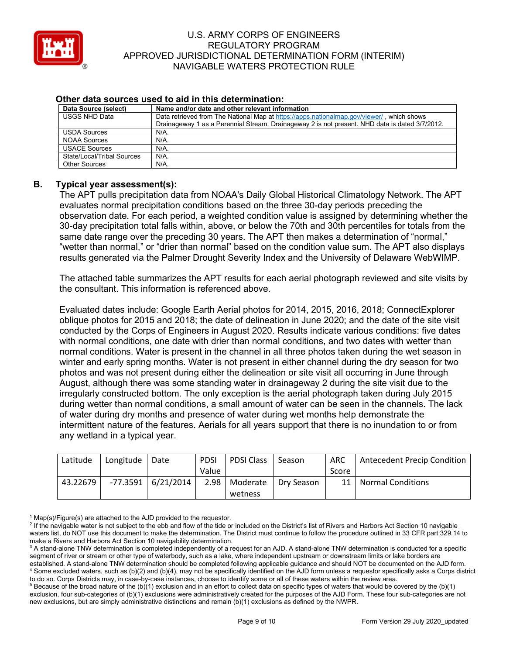

| Data Source (select)       | Name and/or date and other relevant information                                                |  |  |  |  |  |
|----------------------------|------------------------------------------------------------------------------------------------|--|--|--|--|--|
| <b>USGS NHD Data</b>       | Data retrieved from The National Map at https://apps.nationalmap.gov/viewer/, which shows      |  |  |  |  |  |
|                            | Drainageway 1 as a Perennial Stream. Drainageway 2 is not present. NHD data is dated 3/7/2012. |  |  |  |  |  |
| <b>USDA Sources</b>        | N/A.                                                                                           |  |  |  |  |  |
| <b>NOAA Sources</b>        | N/A.                                                                                           |  |  |  |  |  |
| <b>USACE Sources</b>       | N/A.                                                                                           |  |  |  |  |  |
| State/Local/Tribal Sources | $N/A$ .                                                                                        |  |  |  |  |  |
| <b>Other Sources</b>       | N/A.                                                                                           |  |  |  |  |  |

#### **Other data sources used to aid in this determination:**

#### **B. Typical year assessment(s):**

The APT pulls precipitation data from NOAA's Daily Global Historical Climatology Network. The APT evaluates normal precipitation conditions based on the three 30-day periods preceding the observation date. For each period, a weighted condition value is assigned by determining whether the 30-day precipitation total falls within, above, or below the 70th and 30th percentiles for totals from the same date range over the preceding 30 years. The APT then makes a determination of "normal," "wetter than normal," or "drier than normal" based on the condition value sum. The APT also displays results generated via the Palmer Drought Severity Index and the University of Delaware WebWIMP.

The attached table summarizes the APT results for each aerial photograph reviewed and site visits by the consultant. This information is referenced above.

Evaluated dates include: Google Earth Aerial photos for 2014, 2015, 2016, 2018; ConnectExplorer oblique photos for 2015 and 2018; the date of delineation in June 2020; and the date of the site visit conducted by the Corps of Engineers in August 2020. Results indicate various conditions: five dates with normal conditions, one date with drier than normal conditions, and two dates with wetter than normal conditions. Water is present in the channel in all three photos taken during the wet season in winter and early spring months. Water is not present in either channel during the dry season for two photos and was not present during either the delineation or site visit all occurring in June through August, although there was some standing water in drainageway 2 during the site visit due to the irregularly constructed bottom. The only exception is the aerial photograph taken during July 2015 during wetter than normal conditions, a small amount of water can be seen in the channels. The lack of water during dry months and presence of water during wet months help demonstrate the intermittent nature of the features. Aerials for all years support that there is no inundation to or from any wetland in a typical year.

| Latitude | Longitude | Date                 | <b>PDSI</b> | <b>PDSI Class</b> | Season     | <b>ARC</b> | Antecedent Precip Condition |
|----------|-----------|----------------------|-------------|-------------------|------------|------------|-----------------------------|
|          |           |                      | Value       |                   |            | Score      |                             |
| 43.22679 |           | $-77.3591$ 6/21/2014 |             | 2.98   Moderate   | Dry Season | 11         | <b>Normal Conditions</b>    |
|          |           |                      |             | wetness           |            |            |                             |

 $1$  Map(s)/Figure(s) are attached to the AJD provided to the requestor.

<sup>&</sup>lt;sup>2</sup> If the navigable water is not subject to the ebb and flow of the tide or included on the District's list of Rivers and Harbors Act Section 10 navigable waters list, do NOT use this document to make the determination. The District must continue to follow the procedure outlined in 33 CFR part 329.14 to make a Rivers and Harbors Act Section 10 navigability determination.

<sup>&</sup>lt;sup>3</sup> A stand-alone TNW determination is completed independently of a request for an AJD. A stand-alone TNW determination is conducted for a specific segment of river or stream or other type of waterbody, such as a lake, where independent upstream or downstream limits or lake borders are established. A stand-alone TNW determination should be completed following applicable guidance and should NOT be documented on the AJD form. <sup>4</sup> Some excluded waters, such as (b)(2) and (b)(4), may not be specifically identified on the AJD form unless a requestor specifically asks a Corps district to do so. Corps Districts may, in case-by-case instances, choose to identify some or all of these waters within the review area.

 $5$  Because of the broad nature of the (b)(1) exclusion and in an effort to collect data on specific types of waters that would be covered by the (b)(1) exclusion, four sub-categories of (b)(1) exclusions were administratively created for the purposes of the AJD Form. These four sub-categories are not new exclusions, but are simply administrative distinctions and remain (b)(1) exclusions as defined by the NWPR.